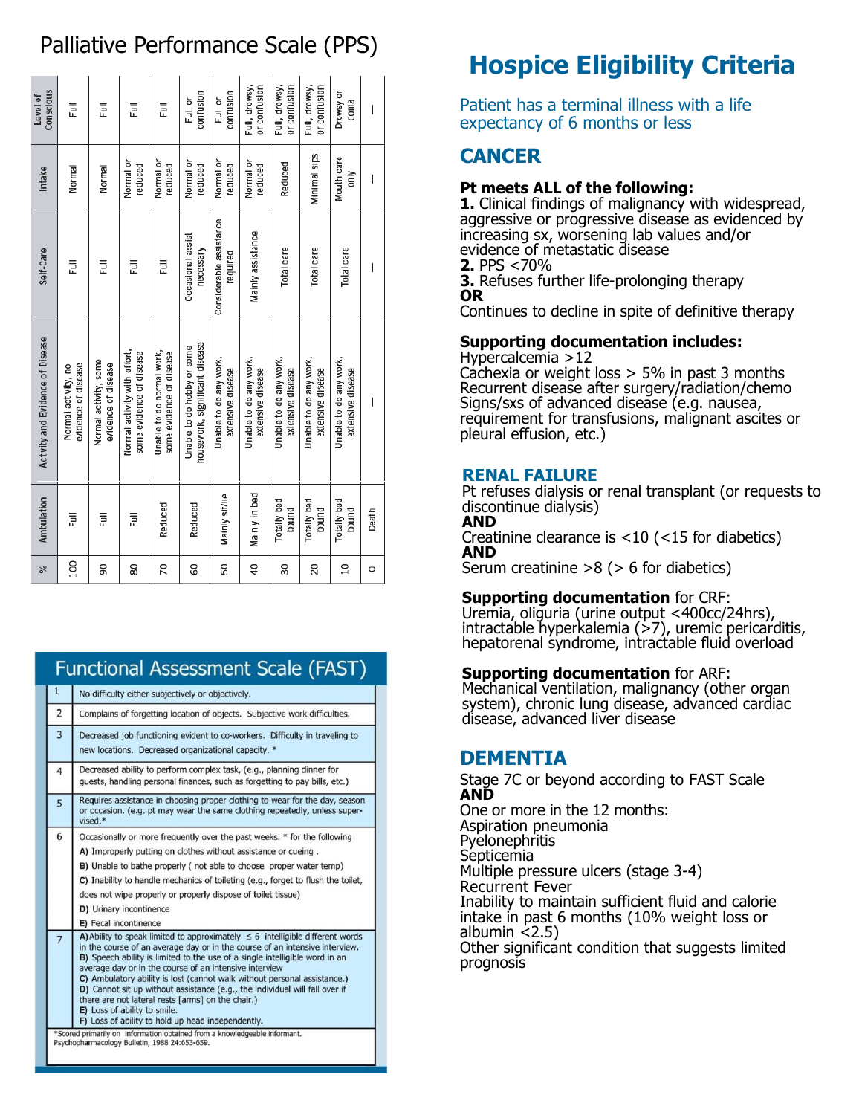# Palliative Performance Scale (PPS)

| Conscious<br>Level of            | Ē                                          | Ē                                            | Ē                                                        | Ē                                                     | confusion<br>Full or                                         | confusion<br>Full or                        | Full, drowsy,<br>or confusion               | Full, drowsy,<br>or confusion               | Full, drowsy,<br>or confusion               | Drowsy or<br>coma                           | $\overline{\phantom{a}}$ |
|----------------------------------|--------------------------------------------|----------------------------------------------|----------------------------------------------------------|-------------------------------------------------------|--------------------------------------------------------------|---------------------------------------------|---------------------------------------------|---------------------------------------------|---------------------------------------------|---------------------------------------------|--------------------------|
| Intake                           | Normal                                     | Normal                                       | Normal or<br>peduced                                     | Normal or<br>peduced                                  | Normal or<br>peduced                                         | Normal or<br>reduced                        | Normal or<br>reduced                        | Reduced                                     | Minimal sips                                | Mouth care<br>only                          | I                        |
| Self-Care                        | Ē                                          | Ē                                            | Ē                                                        | Ē                                                     | Occasional assist<br>necessary                               | Considerable assistance<br>required         | Mainly assistance                           | Total care                                  | Total care                                  | Total care                                  | $\overline{\phantom{a}}$ |
| Activity and Evidence of Disease | evidence of disease<br>Normal activity, no | Normal activity, some<br>evidence of disease | Normal activity with effort,<br>some evidence of disease | Unable to do normal work,<br>some evidence of disease | housework, significant disease<br>Unable to do hobby or some | Unable to do any work,<br>extensive disease | Unable to do any work,<br>extensive disease | Unable to do any work,<br>extensive disease | Unable to do any work,<br>extensive disease | Unable to do any work,<br>extensive disease | I                        |
| Ambulation                       | ā                                          | ā                                            | Į                                                        | Reduced                                               | Reduced                                                      | Mainly sit/lie                              | Mainly in bed                               | Totally bed<br>pound                        | <b>Totally bed</b><br>bound                 | Totally bed<br>bound                        | Death                    |
| %                                | <b>DOI</b>                                 | 90                                           | 80                                                       | 20                                                    | SO                                                           | 50                                          | Q                                           | 30                                          | 20                                          | $\overline{a}$                              | $\circ$                  |

# **Functional Assessment Scale (FAST)**

| $\mathbf{1}$   | No difficulty either subjectively or objectively.                                                                                                                                                                                                                                                                                                                                                                                                                                                                                                                                                               |  |  |  |  |  |  |
|----------------|-----------------------------------------------------------------------------------------------------------------------------------------------------------------------------------------------------------------------------------------------------------------------------------------------------------------------------------------------------------------------------------------------------------------------------------------------------------------------------------------------------------------------------------------------------------------------------------------------------------------|--|--|--|--|--|--|
| 2              | Complains of forgetting location of objects. Subjective work difficulties.                                                                                                                                                                                                                                                                                                                                                                                                                                                                                                                                      |  |  |  |  |  |  |
| 3              | Decreased job functioning evident to co-workers. Difficulty in traveling to<br>new locations. Decreased organizational capacity. *                                                                                                                                                                                                                                                                                                                                                                                                                                                                              |  |  |  |  |  |  |
| $\overline{4}$ | Decreased ability to perform complex task, (e.g., planning dinner for<br>quests, handling personal finances, such as forgetting to pay bills, etc.)                                                                                                                                                                                                                                                                                                                                                                                                                                                             |  |  |  |  |  |  |
| 5              | Requires assistance in choosing proper clothing to wear for the day, season<br>or occasion, (e.g. pt may wear the same clothing repeatedly, unless super-<br>vised.*                                                                                                                                                                                                                                                                                                                                                                                                                                            |  |  |  |  |  |  |
| 6              | Occasionally or more frequently over the past weeks. * for the following<br>A) Improperly putting on clothes without assistance or cueing.<br>B) Unable to bathe properly (not able to choose proper water temp)<br>C) Inability to handle mechanics of toileting (e.g., forget to flush the toilet,<br>does not wipe properly or properly dispose of toilet tissue)<br>D) Urinary incontinence<br>E) Fecal incontinence                                                                                                                                                                                        |  |  |  |  |  |  |
| $\overline{7}$ | A) Ability to speak limited to approximately $\leq 6$ intelligible different words<br>in the course of an average day or in the course of an intensive interview.<br>B) Speech ability is limited to the use of a single intelligible word in an<br>average day or in the course of an intensive interview<br>C) Ambulatory ability is lost (cannot walk without personal assistance.)<br>D) Cannot sit up without assistance (e.g., the individual will fall over if<br>there are not lateral rests [arms] on the chair.)<br>E) Loss of ability to smile.<br>F) Loss of ability to hold up head independently. |  |  |  |  |  |  |
|                | *Scored primarily on information obtained from a knowledgeable informant.<br>Psychopharmacology Bulletin, 1988 24:653-659.                                                                                                                                                                                                                                                                                                                                                                                                                                                                                      |  |  |  |  |  |  |

# **Hospice Eligibility Criteria**

Patient has a terminal illness with a life expectancy of 6 months or less

# **CANCER**

# **Pt meets ALL of the following:**

**1.** Clinical findings of malignancy with widespread, aggressive or progressive disease as evidenced by increasing sx, worsening lab values and/or evidence of metastatic disease **2.** PPS <70%

**3.** Refuses further life-prolonging therapy **OR** 

Continues to decline in spite of definitive therapy

# **Supporting documentation includes:**

Hypercalcemia >12 Cachexia or weight loss  $> 5\%$  in past 3 months Recurrent disease after surgery/radiation/chemo Signs/sxs of advanced disease (e.g. nausea, requirement for transfusions, malignant ascites or pleural effusion, etc.)

# **RENAL FAILURE**

Pt refuses dialysis or renal transplant (or requests to discontinue dialysis) **AND**

Creatinine clearance is <10 (<15 for diabetics) **AND**

Serum creatinine >8 (> 6 for diabetics)

# **Supporting documentation** for CRF:

Uremia, oliguria (urine output <400cc/24hrs), intractable hyperkalemia (>7), uremic pericarditis, hepatorenal syndrome, intractable fluid overload

# **Supporting documentation** for ARF:

Mechanical ventilation, malignancy (other organ system), chronic lung disease, advanced cardiac disease, advanced liver disease

# **DEMENTIA**

Stage 7C or beyond according to FAST Scale **AND**

One or more in the 12 months: Aspiration pneumonia Pyelonephritis Septicemia Multiple pressure ulcers (stage 3-4) Recurrent Fever Inability to maintain sufficient fluid and calorie intake in past 6 months (10% weight loss or albumin  $<$ 2.5) Other significant condition that suggests limited prognosis